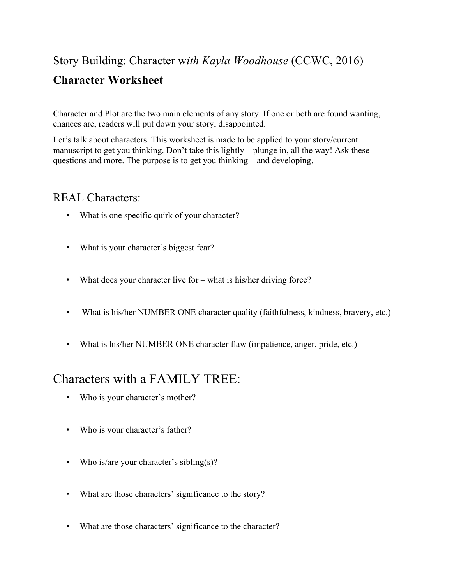### Story Building: Character w*ith Kayla Woodhouse* (CCWC, 2016)

### **Character Worksheet**

Character and Plot are the two main elements of any story. If one or both are found wanting, chances are, readers will put down your story, disappointed.

Let's talk about characters. This worksheet is made to be applied to your story/current manuscript to get you thinking. Don't take this lightly – plunge in, all the way! Ask these questions and more. The purpose is to get you thinking – and developing.

#### REAL Characters:

- What is one specific quirk of your character?
- What is your character's biggest fear?
- What does your character live for what is his/her driving force?
- What is his/her NUMBER ONE character quality (faithfulness, kindness, bravery, etc.)
- What is his/her NUMBER ONE character flaw (impatience, anger, pride, etc.)

## Characters with a FAMILY TREE:

- Who is your character's mother?
- Who is your character's father?
- Who is/are your character's sibling(s)?
- What are those characters' significance to the story?
- What are those characters' significance to the character?